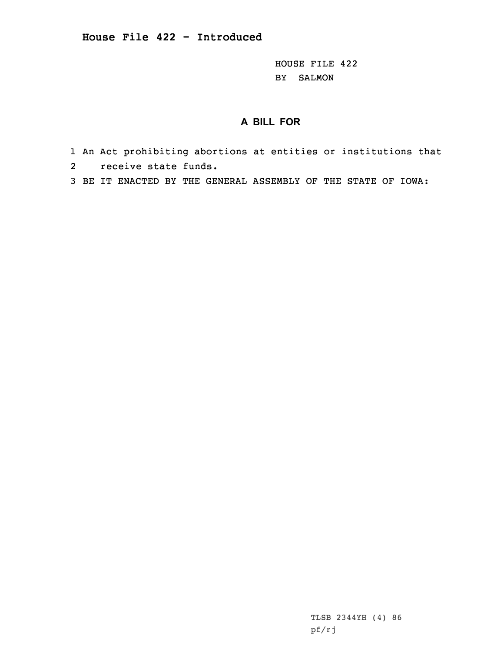HOUSE FILE 422 BY SALMON

## **A BILL FOR**

- 1 An Act prohibiting abortions at entities or institutions that
- 2 receive state funds.
- 3 BE IT ENACTED BY THE GENERAL ASSEMBLY OF THE STATE OF IOWA:

TLSB 2344YH (4) 86 pf/rj